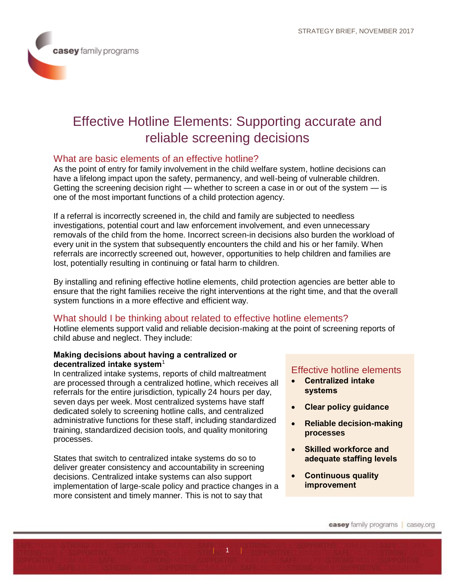# Effective Hotline Elements: Supporting accurate and reliable screening decisions

# What are basic elements of an effective hotline?

As the point of entry for family involvement in the child welfare system, hotline decisions can have a lifelong impact upon the safety, permanency, and well-being of vulnerable children. Getting the screening decision right — whether to screen a case in or out of the system — is one of the most important functions of a child protection agency.

If a referral is incorrectly screened in, the child and family are subjected to needless investigations, potential court and law enforcement involvement, and even unnecessary removals of the child from the home. Incorrect screen-in decisions also burden the workload of every unit in the system that subsequently encounters the child and his or her family. When referrals are incorrectly screened out, however, opportunities to help children and families are lost, potentially resulting in continuing or fatal harm to children.

By installing and refining effective hotline elements, child protection agencies are better able to ensure that the right families receive the right interventions at the right time, and that the overall system functions in a more effective and efficient way.

## What should I be thinking about related to effective hotline elements?

Hotline elements support valid and reliable decision-making at the point of screening reports of child abuse and neglect. They include:

 $| ... 1 1 1$ 

#### **Making decisions about having a centralized or decentralized intake system**<sup>1</sup>

In centralized intake systems, reports of child maltreatment are processed through a centralized hotline, which receives all referrals for the entire jurisdiction, typically 24 hours per day, seven days per week. Most centralized systems have staff dedicated solely to screening hotline calls, and centralized administrative functions for these staff, including standardized training, standardized decision tools, and quality monitoring processes.

States that switch to centralized intake systems do so to deliver greater consistency and accountability in screening decisions. Centralized intake systems can also support implementation of large-scale policy and practice changes in a more consistent and timely manner. This is not to say that

## Effective hotline elements

- **Centralized intake systems**
- **Clear policy guidance**
- **Reliable decision-making processes**
- **Skilled workforce and adequate staffing levels**
- **Continuous quality improvement**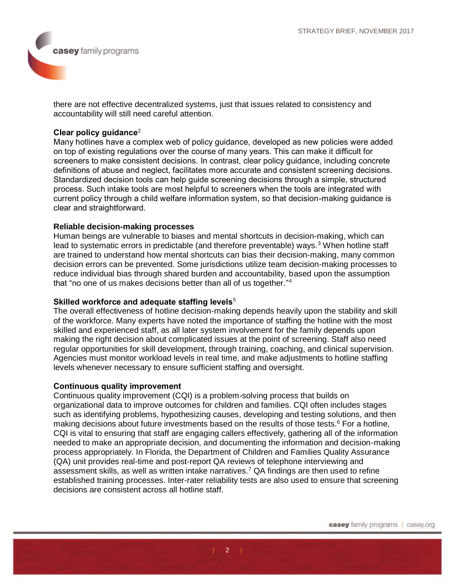there are not effective decentralized systems, just that issues related to consistency and accountability will still need careful attention.

### **Clear policy guidance**<sup>2</sup>

Many hotlines have a complex web of policy guidance, developed as new policies were added on top of existing regulations over the course of many years. This can make it difficult for screeners to make consistent decisions. In contrast, clear policy guidance, including concrete definitions of abuse and neglect, facilitates more accurate and consistent screening decisions. Standardized decision tools can help guide screening decisions through a simple, structured process. Such intake tools are most helpful to screeners when the tools are integrated with current policy through a child welfare information system, so that decision-making guidance is clear and straightforward.

#### **Reliable decision-making processes**

Human beings are vulnerable to biases and mental shortcuts in decision-making, which can lead to systematic errors in predictable (and therefore preventable) ways.<sup>3</sup> When hotline staff are trained to understand how mental shortcuts can bias their decision-making, many common decision errors can be prevented. Some jurisdictions utilize team decision-making processes to reduce individual bias through shared burden and accountability, based upon the assumption that "no one of us makes decisions better than all of us together."<sup>4</sup>

#### **Skilled workforce and adequate staffing levels**<sup>5</sup>

The overall effectiveness of hotline decision-making depends heavily upon the stability and skill of the workforce. Many experts have noted the importance of staffing the hotline with the most skilled and experienced staff, as all later system involvement for the family depends upon making the right decision about complicated issues at the point of screening. Staff also need regular opportunities for skill development, through training, coaching, and clinical supervision. Agencies must monitor workload levels in real time, and make adjustments to hotline staffing levels whenever necessary to ensure sufficient staffing and oversight.

#### **Continuous quality improvement**

Continuous quality improvement (CQI) is a problem-solving process that builds on organizational data to improve outcomes for children and families. CQI often includes stages such as identifying problems, hypothesizing causes, developing and testing solutions, and then making decisions about future investments based on the results of those tests.<sup>6</sup> For a hotline, CQI is vital to ensuring that staff are engaging callers effectively, gathering all of the information needed to make an appropriate decision, and documenting the information and decision-making process appropriately. In Florida, the Department of Children and Families Quality Assurance (QA) unit provides real-time and post-report QA reviews of telephone interviewing and assessment skills, as well as written intake narratives.<sup>7</sup> QA findings are then used to refine established training processes. Inter-rater reliability tests are also used to ensure that screening decisions are consistent across all hotline staff.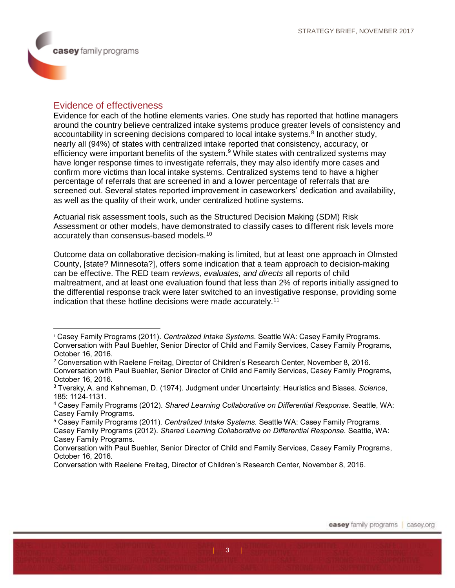$\overline{a}$ 

## Evidence of effectiveness

Evidence for each of the hotline elements varies. One study has reported that hotline managers around the country believe centralized intake systems produce greater levels of consistency and accountability in screening decisions compared to local intake systems.<sup>8</sup> In another study, nearly all (94%) of states with centralized intake reported that consistency, accuracy, or efficiency were important benefits of the system.<sup>9</sup> While states with centralized systems may have longer response times to investigate referrals, they may also identify more cases and confirm more victims than local intake systems. Centralized systems tend to have a higher percentage of referrals that are screened in and a lower percentage of referrals that are screened out. Several states reported improvement in caseworkers' dedication and availability, as well as the quality of their work, under centralized hotline systems.

Actuarial risk assessment tools, such as the Structured Decision Making (SDM) Risk Assessment or other models, have demonstrated to classify cases to different risk levels more accurately than consensus-based models.<sup>10</sup>

Outcome data on collaborative decision-making is limited, but at least one approach in Olmsted County, [state? Minnesota?], offers some indication that a team approach to decision-making can be effective. The RED team *reviews, evaluates, and directs* all reports of child maltreatment, and at least one evaluation found that less than 2% of reports initially assigned to the differential response track were later switched to an investigative response, providing some indication that these hotline decisions were made accurately.<sup>11</sup>

<sup>1</sup> Casey Family Programs (2011). *Centralized Intake Systems.* Seattle WA: Casey Family Programs. Conversation with Paul Buehler, Senior Director of Child and Family Services, Casey Family Programs, October 16, 2016.

<sup>2</sup> Conversation with Raelene Freitag, Director of Children's Research Center, November 8, 2016. Conversation with Paul Buehler, Senior Director of Child and Family Services, Casey Family Programs, October 16, 2016.

<sup>3</sup> Tversky, A. and Kahneman, D. (1974). Judgment under Uncertainty: Heuristics and Biases. *Science*, 185: 1124-1131.

<sup>4</sup> Casey Family Programs (2012). *Shared Learning Collaborative on Differential Response.* Seattle, WA: Casey Family Programs.

<sup>5</sup> Casey Family Programs (2011). *Centralized Intake Systems.* Seattle WA: Casey Family Programs. Casey Family Programs (2012). *Shared Learning Collaborative on Differential Response.* Seattle, WA: Casey Family Programs.

Conversation with Paul Buehler, Senior Director of Child and Family Services, Casey Family Programs, October 16, 2016.

Conversation with Raelene Freitag, Director of Children's Research Center, November 8, 2016.